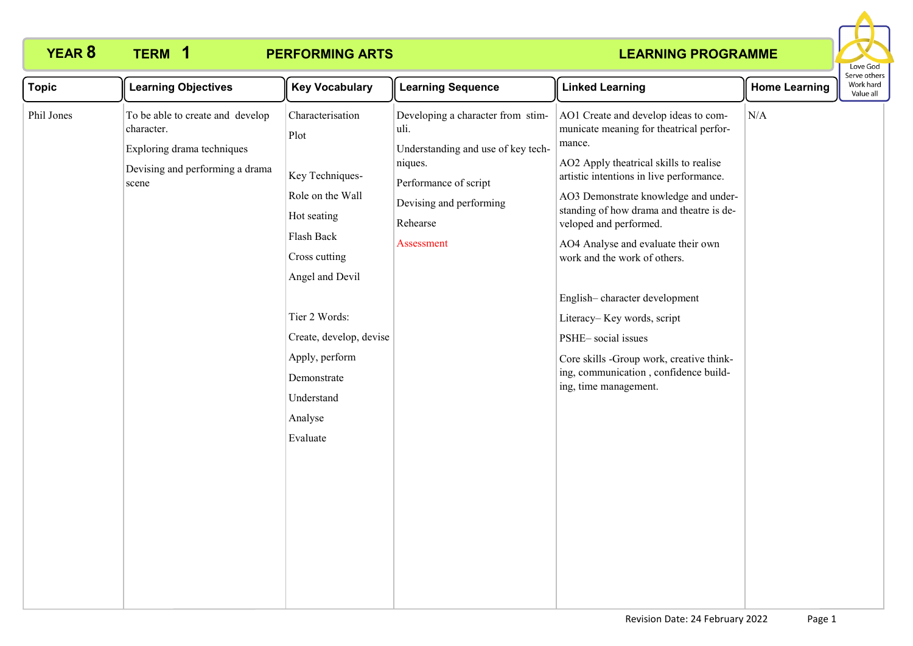# **1**

# **YEAR 8 TERM 1 PERFORMING ARTS**

### **LEARNING PROGRAMME**



| <b>Topic</b> | <b>Learning Objectives</b>                                                                                               | <b>Key Vocabulary</b>                                                                                                                                                                                                                              | <b>Learning Sequence</b>                                                                                                                                                 | <b>Linked Learning</b>                                                                                                                                                                                                                                                                                                                                                                                                                                                                                                                                                 | <b>Home Learning</b> | בו אב התוכונ<br>Work hard<br>Value all |
|--------------|--------------------------------------------------------------------------------------------------------------------------|----------------------------------------------------------------------------------------------------------------------------------------------------------------------------------------------------------------------------------------------------|--------------------------------------------------------------------------------------------------------------------------------------------------------------------------|------------------------------------------------------------------------------------------------------------------------------------------------------------------------------------------------------------------------------------------------------------------------------------------------------------------------------------------------------------------------------------------------------------------------------------------------------------------------------------------------------------------------------------------------------------------------|----------------------|----------------------------------------|
| Phil Jones   | To be able to create and develop<br>character.<br>Exploring drama techniques<br>Devising and performing a drama<br>scene | Characterisation<br>Plot<br>Key Techniques-<br>Role on the Wall<br>Hot seating<br>Flash Back<br>Cross cutting<br>Angel and Devil<br>Tier 2 Words:<br>Create, develop, devise<br>Apply, perform<br>Demonstrate<br>Understand<br>Analyse<br>Evaluate | Developing a character from stim-<br>uli.<br>Understanding and use of key tech-<br>niques.<br>Performance of script<br>Devising and performing<br>Rehearse<br>Assessment | AO1 Create and develop ideas to com-<br>municate meaning for theatrical perfor-<br>mance.<br>AO2 Apply theatrical skills to realise<br>artistic intentions in live performance.<br>AO3 Demonstrate knowledge and under-<br>standing of how drama and theatre is de-<br>veloped and performed.<br>AO4 Analyse and evaluate their own<br>work and the work of others.<br>English-character development<br>Literacy-Key words, script<br>PSHE-social issues<br>Core skills -Group work, creative think-<br>ing, communication, confidence build-<br>ing, time management. | N/A                  |                                        |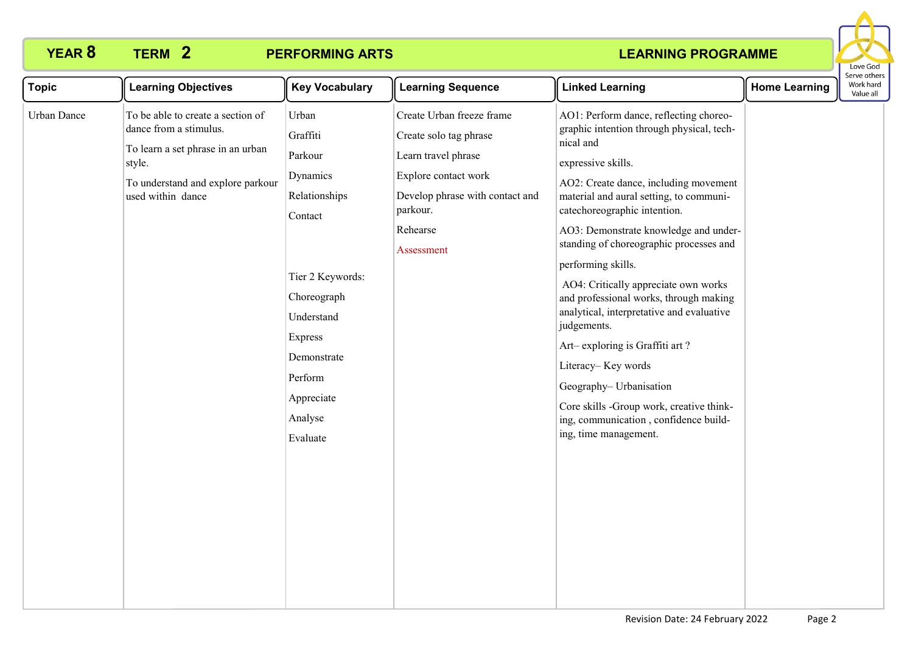**2**

# **YEAR 8 TERM 2 PERFORMING ARTS**

#### **LEARNING PROGRAMME**



| <b>Topic</b> | <b>Learning Objectives</b>                                                                                                                                           | <b>Key Vocabulary</b>                                                                                                                                                                           | <b>Learning Sequence</b>                                                                                                                                                    | <b>Linked Learning</b>                                                                                                                                                                                                                                                                                                                                                                                                                                                                                                                                                                                                                                                                              | <b>Home Learning</b> | : וסכו עם טנו וכו<br>Work hard<br>Value all |
|--------------|----------------------------------------------------------------------------------------------------------------------------------------------------------------------|-------------------------------------------------------------------------------------------------------------------------------------------------------------------------------------------------|-----------------------------------------------------------------------------------------------------------------------------------------------------------------------------|-----------------------------------------------------------------------------------------------------------------------------------------------------------------------------------------------------------------------------------------------------------------------------------------------------------------------------------------------------------------------------------------------------------------------------------------------------------------------------------------------------------------------------------------------------------------------------------------------------------------------------------------------------------------------------------------------------|----------------------|---------------------------------------------|
| Urban Dance  | To be able to create a section of<br>dance from a stimulus.<br>To learn a set phrase in an urban<br>style.<br>To understand and explore parkour<br>used within dance | Urban<br>Graffiti<br>Parkour<br>Dynamics<br>Relationships<br>Contact<br>Tier 2 Keywords:<br>Choreograph<br>Understand<br>Express<br>Demonstrate<br>Perform<br>Appreciate<br>Analyse<br>Evaluate | Create Urban freeze frame<br>Create solo tag phrase<br>Learn travel phrase<br>Explore contact work<br>Develop phrase with contact and<br>parkour.<br>Rehearse<br>Assessment | AO1: Perform dance, reflecting choreo-<br>graphic intention through physical, tech-<br>nical and<br>expressive skills.<br>AO2: Create dance, including movement<br>material and aural setting, to communi-<br>catechoreographic intention.<br>AO3: Demonstrate knowledge and under-<br>standing of choreographic processes and<br>performing skills.<br>AO4: Critically appreciate own works<br>and professional works, through making<br>analytical, interpretative and evaluative<br>judgements.<br>Art-exploring is Graffiti art?<br>Literacy-Key words<br>Geography- Urbanisation<br>Core skills -Group work, creative think-<br>ing, communication, confidence build-<br>ing, time management. |                      |                                             |